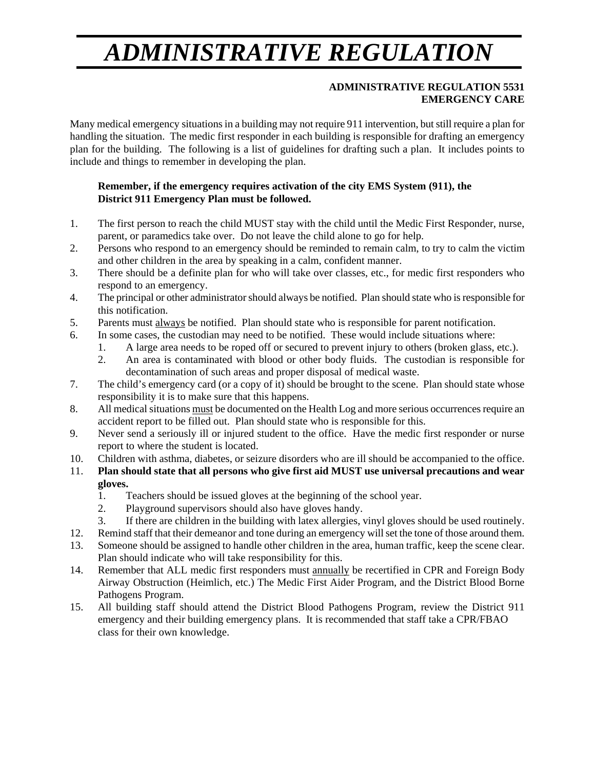## *ADMINISTRATIVE REGULATION*

## **ADMINISTRATIVE REGULATION 5531 EMERGENCY CARE**

Many medical emergency situations in a building may not require 911 intervention, but still require a plan for handling the situation. The medic first responder in each building is responsible for drafting an emergency plan for the building. The following is a list of guidelines for drafting such a plan. It includes points to include and things to remember in developing the plan.

## **Remember, if the emergency requires activation of the city EMS System (911), the District 911 Emergency Plan must be followed.**

- 1. The first person to reach the child MUST stay with the child until the Medic First Responder, nurse, parent, or paramedics take over. Do not leave the child alone to go for help.
- 2. Persons who respond to an emergency should be reminded to remain calm, to try to calm the victim and other children in the area by speaking in a calm, confident manner.
- 3. There should be a definite plan for who will take over classes, etc., for medic first responders who respond to an emergency.
- 4. The principal or other administrator should always be notified. Plan should state who is responsible for this notification.
- 5. Parents must always be notified. Plan should state who is responsible for parent notification.
- 6. In some cases, the custodian may need to be notified. These would include situations where:
	- 1. A large area needs to be roped off or secured to prevent injury to others (broken glass, etc.).
	- 2. An area is contaminated with blood or other body fluids. The custodian is responsible for decontamination of such areas and proper disposal of medical waste.
- 7. The child's emergency card (or a copy of it) should be brought to the scene. Plan should state whose responsibility it is to make sure that this happens.
- 8. All medical situations must be documented on the Health Log and more serious occurrences require an accident report to be filled out. Plan should state who is responsible for this.
- 9. Never send a seriously ill or injured student to the office. Have the medic first responder or nurse report to where the student is located.
- 10. Children with asthma, diabetes, or seizure disorders who are ill should be accompanied to the office.
- 11. **Plan should state that all persons who give first aid MUST use universal precautions and wear gloves.**
	- 1. Teachers should be issued gloves at the beginning of the school year.
	- 2. Playground supervisors should also have gloves handy.
	- 3. If there are children in the building with latex allergies, vinyl gloves should be used routinely.
- 12. Remind staff that their demeanor and tone during an emergency will set the tone of those around them.
- 13. Someone should be assigned to handle other children in the area, human traffic, keep the scene clear. Plan should indicate who will take responsibility for this.
- 14. Remember that ALL medic first responders must annually be recertified in CPR and Foreign Body Airway Obstruction (Heimlich, etc.) The Medic First Aider Program, and the District Blood Borne Pathogens Program.
- 15. All building staff should attend the District Blood Pathogens Program, review the District 911 emergency and their building emergency plans. It is recommended that staff take a CPR/FBAO class for their own knowledge.